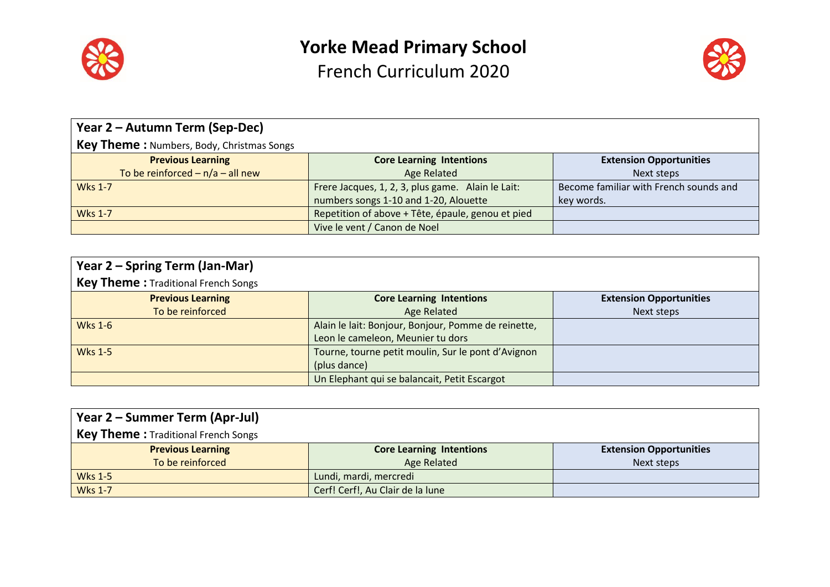



| Year 2 – Autumn Term (Sep-Dec)                   |                                                   |                                        |
|--------------------------------------------------|---------------------------------------------------|----------------------------------------|
| <b>Key Theme: Numbers, Body, Christmas Songs</b> |                                                   |                                        |
| <b>Previous Learning</b>                         | <b>Core Learning Intentions</b>                   | <b>Extension Opportunities</b>         |
| To be reinforced $- n/a - all new$               | Age Related                                       | Next steps                             |
| <b>Wks 1-7</b>                                   | Frere Jacques, 1, 2, 3, plus game. Alain le Lait: | Become familiar with French sounds and |
|                                                  | numbers songs 1-10 and 1-20, Alouette             | key words.                             |
| <b>Wks 1-7</b>                                   | Repetition of above + Tête, épaule, genou et pied |                                        |
|                                                  | Vive le vent / Canon de Noel                      |                                        |

| Year 2 – Spring Term (Jan-Mar)             |                                                     |                                |
|--------------------------------------------|-----------------------------------------------------|--------------------------------|
| <b>Key Theme: Traditional French Songs</b> |                                                     |                                |
| <b>Previous Learning</b>                   | <b>Core Learning Intentions</b>                     | <b>Extension Opportunities</b> |
| To be reinforced                           | <b>Age Related</b>                                  | Next steps                     |
| <b>Wks 1-6</b>                             | Alain le lait: Bonjour, Bonjour, Pomme de reinette, |                                |
|                                            | Leon le cameleon, Meunier tu dors                   |                                |
| <b>Wks 1-5</b>                             | Tourne, tourne petit moulin, Sur le pont d'Avignon  |                                |
|                                            | (plus dance)                                        |                                |
|                                            | Un Elephant qui se balancait, Petit Escargot        |                                |

| Year 2 – Summer Term (Apr-Jul)             |                                  |                                |
|--------------------------------------------|----------------------------------|--------------------------------|
| <b>Key Theme:</b> Traditional French Songs |                                  |                                |
| <b>Previous Learning</b>                   | <b>Core Learning Intentions</b>  | <b>Extension Opportunities</b> |
| To be reinforced                           | Age Related                      | Next steps                     |
| <b>Wks 1-5</b>                             | Lundi, mardi, mercredi           |                                |
| <b>Wks 1-7</b>                             | Cerf! Cerf!, Au Clair de la lune |                                |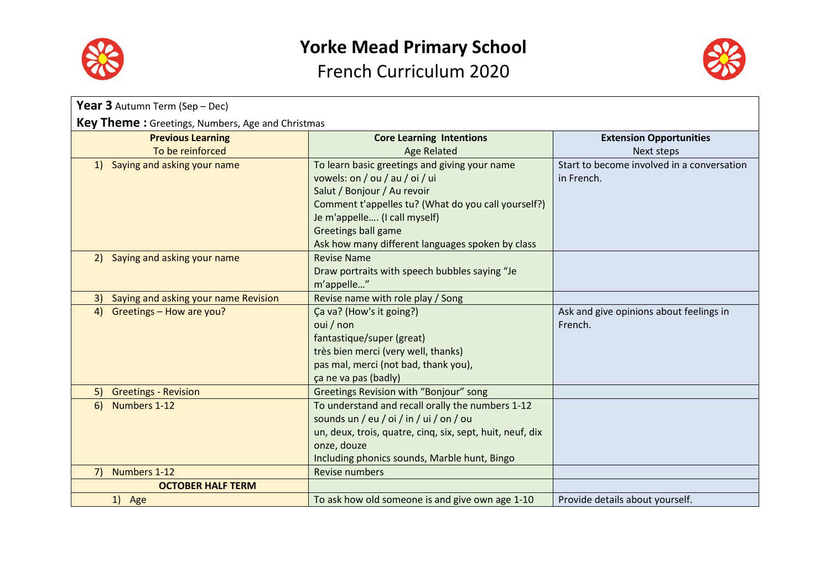



| Year 3 Autumn Term (Sep - Dec)                          |                                                           |                                            |
|---------------------------------------------------------|-----------------------------------------------------------|--------------------------------------------|
| <b>Key Theme:</b> Greetings, Numbers, Age and Christmas |                                                           |                                            |
| <b>Previous Learning</b>                                | <b>Core Learning Intentions</b>                           | <b>Extension Opportunities</b>             |
| To be reinforced                                        | <b>Age Related</b>                                        | Next steps                                 |
| Saying and asking your name<br>1)                       | To learn basic greetings and giving your name             | Start to become involved in a conversation |
|                                                         | vowels: on / ou / au / oi / ui                            | in French.                                 |
|                                                         | Salut / Bonjour / Au revoir                               |                                            |
|                                                         | Comment t'appelles tu? (What do you call yourself?)       |                                            |
|                                                         | Je m'appelle (I call myself)                              |                                            |
|                                                         | <b>Greetings ball game</b>                                |                                            |
|                                                         | Ask how many different languages spoken by class          |                                            |
| 2) Saying and asking your name                          | <b>Revise Name</b>                                        |                                            |
|                                                         | Draw portraits with speech bubbles saying "Je             |                                            |
|                                                         | m'appelle"                                                |                                            |
| Saying and asking your name Revision<br>3)              | Revise name with role play / Song                         |                                            |
| Greetings - How are you?<br>4)                          | Ça va? (How's it going?)                                  | Ask and give opinions about feelings in    |
|                                                         | oui / non                                                 | French.                                    |
|                                                         | fantastique/super (great)                                 |                                            |
|                                                         | très bien merci (very well, thanks)                       |                                            |
|                                                         | pas mal, merci (not bad, thank you),                      |                                            |
|                                                         | ça ne va pas (badly)                                      |                                            |
| <b>Greetings - Revision</b><br>5)                       | Greetings Revision with "Bonjour" song                    |                                            |
| Numbers 1-12<br>6)                                      | To understand and recall orally the numbers 1-12          |                                            |
|                                                         | sounds un / eu / oi / in / ui / on / ou                   |                                            |
|                                                         | un, deux, trois, quatre, cinq, six, sept, huit, neuf, dix |                                            |
|                                                         | onze, douze                                               |                                            |
|                                                         | Including phonics sounds, Marble hunt, Bingo              |                                            |
| 7)<br>Numbers 1-12                                      | Revise numbers                                            |                                            |
| <b>OCTOBER HALF TERM</b>                                |                                                           |                                            |
| 1) Age                                                  | To ask how old someone is and give own age 1-10           | Provide details about yourself.            |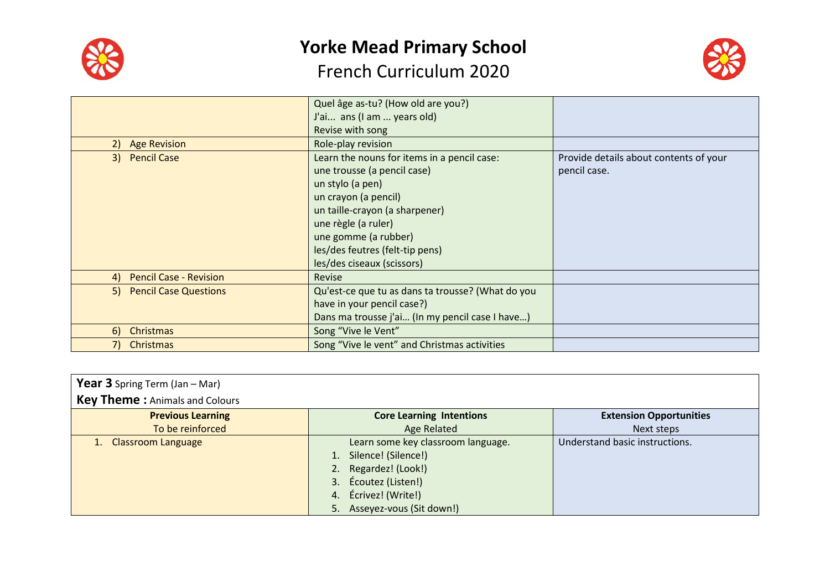

# **Yorke Mead Primary School**

### French Curriculum 2020



|                                     | Quel âge as-tu? (How old are you?)                |                                        |
|-------------------------------------|---------------------------------------------------|----------------------------------------|
|                                     | J'ai ans (I am  years old)                        |                                        |
|                                     | Revise with song                                  |                                        |
| <b>Age Revision</b><br>2)           | Role-play revision                                |                                        |
| 3) Pencil Case                      | Learn the nouns for items in a pencil case:       | Provide details about contents of your |
|                                     | une trousse (a pencil case)                       | pencil case.                           |
|                                     | un stylo (a pen)                                  |                                        |
|                                     | un crayon (a pencil)                              |                                        |
|                                     | un taille-crayon (a sharpener)                    |                                        |
|                                     | une règle (a ruler)                               |                                        |
|                                     | une gomme (a rubber)                              |                                        |
|                                     | les/des feutres (felt-tip pens)                   |                                        |
|                                     | les/des ciseaux (scissors)                        |                                        |
| <b>Pencil Case - Revision</b><br>4) | <b>Revise</b>                                     |                                        |
| 5) Pencil Case Questions            | Qu'est-ce que tu as dans ta trousse? (What do you |                                        |
|                                     | have in your pencil case?)                        |                                        |
|                                     | Dans ma trousse j'ai (In my pencil case I have)   |                                        |
| <b>Christmas</b><br>6)              | Song "Vive le Vent"                               |                                        |
| Christmas                           | Song "Vive le vent" and Christmas activities      |                                        |
|                                     |                                                   |                                        |

| <b>Year 3</b> Spring Term (Jan $-$ Mar)<br><b>Key Theme: Animals and Colours</b> |                                                                                                                                                                     |                                |
|----------------------------------------------------------------------------------|---------------------------------------------------------------------------------------------------------------------------------------------------------------------|--------------------------------|
| <b>Previous Learning</b>                                                         | <b>Core Learning Intentions</b>                                                                                                                                     | <b>Extension Opportunities</b> |
| To be reinforced                                                                 | <b>Age Related</b>                                                                                                                                                  | Next steps                     |
| Classroom Language                                                               | Learn some key classroom language.<br>1. Silence! (Silence!)<br>2. Regardez! (Look!)<br>3. Écoutez (Listen!)<br>4. Écrivez! (Write!)<br>5. Asseyez-vous (Sit down!) | Understand basic instructions. |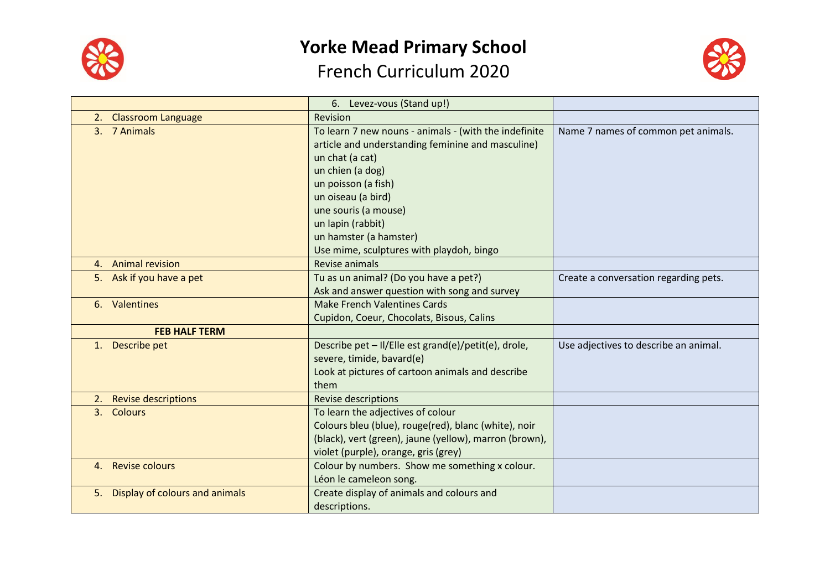



|                                      | 6. Levez-vous (Stand up!)                                                                                                                                                                   |                                       |
|--------------------------------------|---------------------------------------------------------------------------------------------------------------------------------------------------------------------------------------------|---------------------------------------|
| <b>Classroom Language</b><br>2.      | Revision                                                                                                                                                                                    |                                       |
| 3. 7 Animals                         | To learn 7 new nouns - animals - (with the indefinite<br>article and understanding feminine and masculine)<br>un chat (a cat)                                                               | Name 7 names of common pet animals.   |
|                                      | un chien (a dog)<br>un poisson (a fish)<br>un oiseau (a bird)                                                                                                                               |                                       |
|                                      | une souris (a mouse)<br>un lapin (rabbit)<br>un hamster (a hamster)<br>Use mime, sculptures with playdoh, bingo                                                                             |                                       |
| 4. Animal revision                   | Revise animals                                                                                                                                                                              |                                       |
| 5. Ask if you have a pet             | Tu as un animal? (Do you have a pet?)<br>Ask and answer question with song and survey                                                                                                       | Create a conversation regarding pets. |
| 6. Valentines                        | <b>Make French Valentines Cards</b><br>Cupidon, Coeur, Chocolats, Bisous, Calins                                                                                                            |                                       |
| <b>FEB HALF TERM</b>                 |                                                                                                                                                                                             |                                       |
| 1. Describe pet                      | Describe pet - II/Elle est grand(e)/petit(e), drole,<br>severe, timide, bavard(e)<br>Look at pictures of cartoon animals and describe<br>them                                               | Use adjectives to describe an animal. |
| <b>Revise descriptions</b><br>2.     | <b>Revise descriptions</b>                                                                                                                                                                  |                                       |
| 3. Colours                           | To learn the adjectives of colour<br>Colours bleu (blue), rouge(red), blanc (white), noir<br>(black), vert (green), jaune (yellow), marron (brown),<br>violet (purple), orange, gris (grey) |                                       |
| <b>Revise colours</b><br>4.          | Colour by numbers. Show me something x colour.<br>Léon le cameleon song.                                                                                                                    |                                       |
| Display of colours and animals<br>5. | Create display of animals and colours and<br>descriptions.                                                                                                                                  |                                       |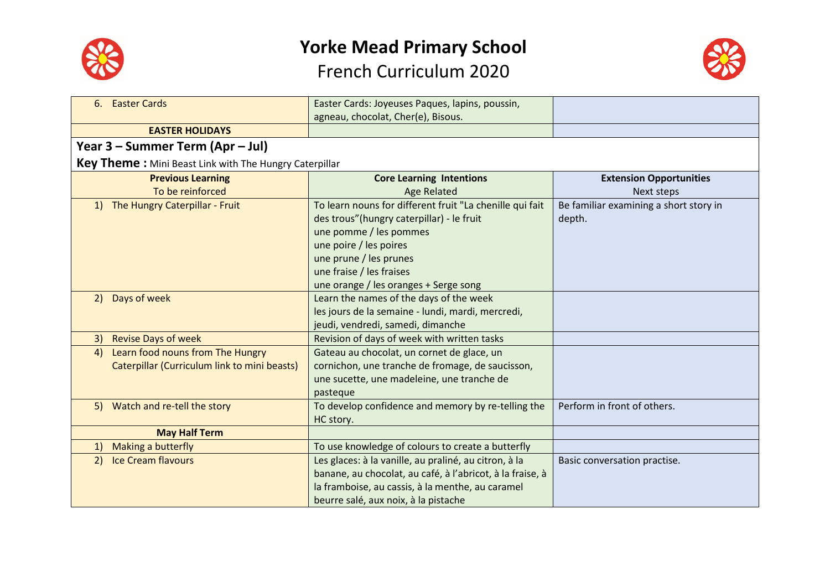



| <b>Easter Cards</b><br>6.                                     | Easter Cards: Joyeuses Paques, lapins, poussin,           |                                        |
|---------------------------------------------------------------|-----------------------------------------------------------|----------------------------------------|
|                                                               | agneau, chocolat, Cher(e), Bisous.                        |                                        |
| <b>EASTER HOLIDAYS</b>                                        |                                                           |                                        |
| Year 3 – Summer Term (Apr – Jul)                              |                                                           |                                        |
| <b>Key Theme:</b> Mini Beast Link with The Hungry Caterpillar |                                                           |                                        |
| <b>Previous Learning</b>                                      | <b>Core Learning Intentions</b>                           | <b>Extension Opportunities</b>         |
| To be reinforced                                              | <b>Age Related</b>                                        | Next steps                             |
| 1) The Hungry Caterpillar - Fruit                             | To learn nouns for different fruit "La chenille qui fait  | Be familiar examining a short story in |
|                                                               | des trous" (hungry caterpillar) - le fruit                | depth.                                 |
|                                                               | une pomme / les pommes                                    |                                        |
|                                                               | une poire / les poires                                    |                                        |
|                                                               | une prune / les prunes                                    |                                        |
|                                                               | une fraise / les fraises                                  |                                        |
|                                                               | une orange / les oranges + Serge song                     |                                        |
| Days of week<br>2)                                            | Learn the names of the days of the week                   |                                        |
|                                                               | les jours de la semaine - lundi, mardi, mercredi,         |                                        |
|                                                               | jeudi, vendredi, samedi, dimanche                         |                                        |
| <b>Revise Days of week</b><br>3)                              | Revision of days of week with written tasks               |                                        |
| Learn food nouns from The Hungry<br>4)                        | Gateau au chocolat, un cornet de glace, un                |                                        |
| Caterpillar (Curriculum link to mini beasts)                  | cornichon, une tranche de fromage, de saucisson,          |                                        |
|                                                               | une sucette, une madeleine, une tranche de                |                                        |
|                                                               | pasteque                                                  |                                        |
| 5) Watch and re-tell the story                                | To develop confidence and memory by re-telling the        | Perform in front of others.            |
|                                                               | HC story.                                                 |                                        |
| <b>May Half Term</b>                                          |                                                           |                                        |
| Making a butterfly<br><sup>1</sup>                            | To use knowledge of colours to create a butterfly         |                                        |
| <b>Ice Cream flavours</b><br>2)                               | Les glaces: à la vanille, au praliné, au citron, à la     | Basic conversation practise.           |
|                                                               | banane, au chocolat, au café, à l'abricot, à la fraise, à |                                        |
|                                                               | la framboise, au cassis, à la menthe, au caramel          |                                        |
|                                                               | beurre salé, aux noix, à la pistache                      |                                        |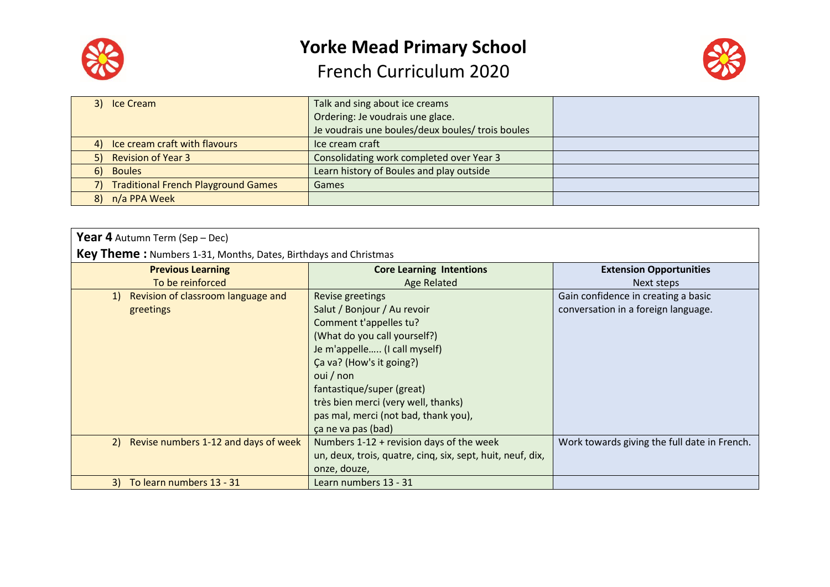



|    | 3) Ice Cream                               | Talk and sing about ice creams                   |  |
|----|--------------------------------------------|--------------------------------------------------|--|
|    |                                            | Ordering: Je voudrais une glace.                 |  |
|    |                                            | Je voudrais une boules/deux boules/ trois boules |  |
|    | 4) Ice cream craft with flavours           | Ice cream craft                                  |  |
|    | 5) Revision of Year 3                      | Consolidating work completed over Year 3         |  |
| 6) | <b>Boules</b>                              | Learn history of Boules and play outside         |  |
|    | <b>Traditional French Playground Games</b> | Games                                            |  |
| 8) | n/a PPA Week                               |                                                  |  |
|    |                                            |                                                  |  |

| <b>Year 4</b> Autumn Term (Sep – Dec)                                  |                                                            |                                              |  |
|------------------------------------------------------------------------|------------------------------------------------------------|----------------------------------------------|--|
| <b>Key Theme:</b> Numbers 1-31, Months, Dates, Birthdays and Christmas |                                                            |                                              |  |
| <b>Previous Learning</b>                                               | <b>Core Learning Intentions</b>                            | <b>Extension Opportunities</b>               |  |
| To be reinforced                                                       | <b>Age Related</b>                                         | Next steps                                   |  |
| Revision of classroom language and<br><sup>1</sup>                     | Revise greetings                                           | Gain confidence in creating a basic          |  |
| greetings                                                              | Salut / Bonjour / Au revoir                                | conversation in a foreign language.          |  |
|                                                                        | Comment t'appelles tu?                                     |                                              |  |
|                                                                        | (What do you call yourself?)                               |                                              |  |
|                                                                        | Je m'appelle (I call myself)                               |                                              |  |
|                                                                        | Ca va? (How's it going?)                                   |                                              |  |
|                                                                        | oui / non                                                  |                                              |  |
|                                                                        | fantastique/super (great)                                  |                                              |  |
|                                                                        | très bien merci (very well, thanks)                        |                                              |  |
|                                                                        | pas mal, merci (not bad, thank you),                       |                                              |  |
|                                                                        | ca ne va pas (bad)                                         |                                              |  |
| Revise numbers 1-12 and days of week<br>2)                             | Numbers 1-12 + revision days of the week                   | Work towards giving the full date in French. |  |
|                                                                        | un, deux, trois, quatre, cinq, six, sept, huit, neuf, dix, |                                              |  |
|                                                                        | onze, douze,                                               |                                              |  |
| To learn numbers 13 - 31<br>3 <sup>)</sup>                             | Learn numbers 13 - 31                                      |                                              |  |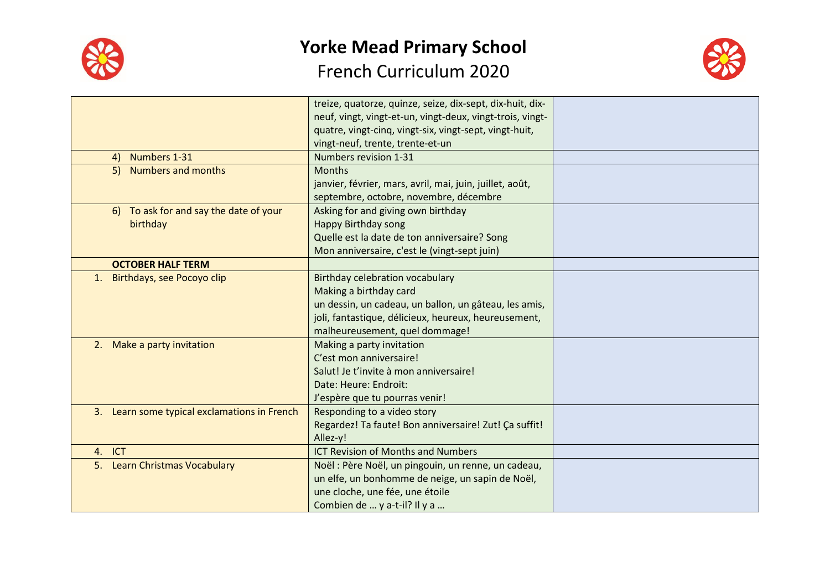



|                                              | treize, quatorze, quinze, seize, dix-sept, dix-huit, dix- |  |
|----------------------------------------------|-----------------------------------------------------------|--|
|                                              | neuf, vingt, vingt-et-un, vingt-deux, vingt-trois, vingt- |  |
|                                              | quatre, vingt-cinq, vingt-six, vingt-sept, vingt-huit,    |  |
|                                              | vingt-neuf, trente, trente-et-un                          |  |
| Numbers 1-31<br>4)                           | Numbers revision 1-31                                     |  |
| 5) Numbers and months                        | <b>Months</b>                                             |  |
|                                              | janvier, février, mars, avril, mai, juin, juillet, août,  |  |
|                                              | septembre, octobre, novembre, décembre                    |  |
| 6) To ask for and say the date of your       | Asking for and giving own birthday                        |  |
| birthday                                     | <b>Happy Birthday song</b>                                |  |
|                                              | Quelle est la date de ton anniversaire? Song              |  |
|                                              | Mon anniversaire, c'est le (vingt-sept juin)              |  |
| <b>OCTOBER HALF TERM</b>                     |                                                           |  |
| Birthdays, see Pocoyo clip<br>1.             | <b>Birthday celebration vocabulary</b>                    |  |
|                                              | Making a birthday card                                    |  |
|                                              | un dessin, un cadeau, un ballon, un gâteau, les amis,     |  |
|                                              | joli, fantastique, délicieux, heureux, heureusement,      |  |
|                                              | malheureusement, quel dommage!                            |  |
| 2. Make a party invitation                   | Making a party invitation                                 |  |
|                                              | C'est mon anniversaire!                                   |  |
|                                              | Salut! Je t'invite à mon anniversaire!                    |  |
|                                              | Date: Heure: Endroit:                                     |  |
|                                              | J'espère que tu pourras venir!                            |  |
| 3. Learn some typical exclamations in French | Responding to a video story                               |  |
|                                              | Regardez! Ta faute! Bon anniversaire! Zut! Ça suffit!     |  |
|                                              | Allez-y!                                                  |  |
| 4. ICT                                       | <b>ICT Revision of Months and Numbers</b>                 |  |
| 5. Learn Christmas Vocabulary                | Noël : Père Noël, un pingouin, un renne, un cadeau,       |  |
|                                              | un elfe, un bonhomme de neige, un sapin de Noël,          |  |
|                                              | une cloche, une fée, une étoile                           |  |
|                                              | Combien de  y a-t-il? Il y a                              |  |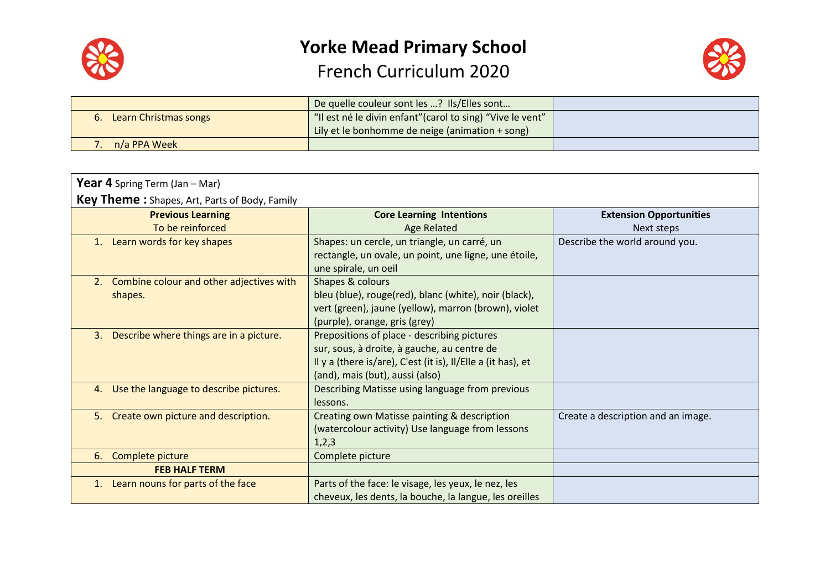



|                       | De quelle couleur sont les ? Ils/Elles sont                |  |
|-----------------------|------------------------------------------------------------|--|
| Learn Christmas songs | "Il est né le divin enfant" (carol to sing) "Vive le vent" |  |
|                       | Lily et le bonhomme de neige (animation + song)            |  |
| n/a PPA Week          |                                                            |  |

| <b>Year 4</b> Spring Term (Jan - Mar)                     |                                                                                                                                                                                               |                                    |  |
|-----------------------------------------------------------|-----------------------------------------------------------------------------------------------------------------------------------------------------------------------------------------------|------------------------------------|--|
| <b>Key Theme:</b> Shapes, Art, Parts of Body, Family      |                                                                                                                                                                                               |                                    |  |
| <b>Previous Learning</b>                                  | <b>Core Learning Intentions</b>                                                                                                                                                               | <b>Extension Opportunities</b>     |  |
| To be reinforced                                          | <b>Age Related</b>                                                                                                                                                                            | Next steps                         |  |
| Learn words for key shapes<br>1.                          | Shapes: un cercle, un triangle, un carré, un<br>rectangle, un ovale, un point, une ligne, une étoile,<br>une spirale, un oeil                                                                 | Describe the world around you.     |  |
| Combine colour and other adjectives with<br>2.<br>shapes. | Shapes & colours<br>bleu (blue), rouge(red), blanc (white), noir (black),<br>vert (green), jaune (yellow), marron (brown), violet<br>(purple), orange, gris (grey)                            |                                    |  |
| Describe where things are in a picture.<br>3.             | Prepositions of place - describing pictures<br>sur, sous, à droite, à gauche, au centre de<br>Il y a (there is/are), C'est (it is), Il/Elle a (it has), et<br>(and), mais (but), aussi (also) |                                    |  |
| Use the language to describe pictures.<br>4.              | Describing Matisse using language from previous<br>lessons.                                                                                                                                   |                                    |  |
| 5. Create own picture and description.                    | Creating own Matisse painting & description<br>(watercolour activity) Use language from lessons<br>1,2,3                                                                                      | Create a description and an image. |  |
| Complete picture<br>6.                                    | Complete picture                                                                                                                                                                              |                                    |  |
| <b>FEB HALF TERM</b>                                      |                                                                                                                                                                                               |                                    |  |
| Learn nouns for parts of the face<br>1.                   | Parts of the face: le visage, les yeux, le nez, les<br>cheveux, les dents, la bouche, la langue, les oreilles                                                                                 |                                    |  |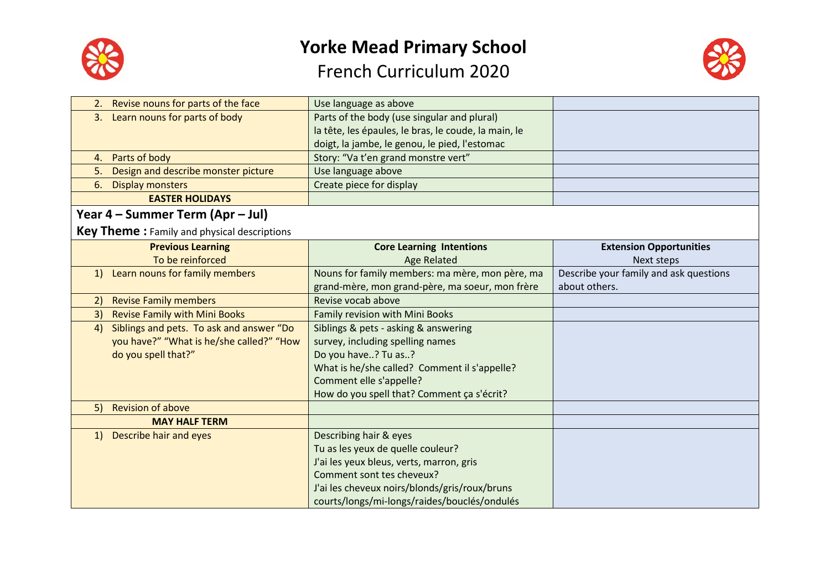



|              | 2. Revise nouns for parts of the face       | Use language as above                                |                                        |
|--------------|---------------------------------------------|------------------------------------------------------|----------------------------------------|
| 3.           | Learn nouns for parts of body               | Parts of the body (use singular and plural)          |                                        |
|              |                                             | la tête, les épaules, le bras, le coude, la main, le |                                        |
|              |                                             | doigt, la jambe, le genou, le pied, l'estomac        |                                        |
|              | 4. Parts of body                            | Story: "Va t'en grand monstre vert"                  |                                        |
| 5.           | Design and describe monster picture         | Use language above                                   |                                        |
| 6.           | <b>Display monsters</b>                     | Create piece for display                             |                                        |
|              | <b>EASTER HOLIDAYS</b>                      |                                                      |                                        |
|              | Year 4 – Summer Term (Apr – Jul)            |                                                      |                                        |
|              | Key Theme: Family and physical descriptions |                                                      |                                        |
|              | <b>Previous Learning</b>                    | <b>Core Learning Intentions</b>                      | <b>Extension Opportunities</b>         |
|              | To be reinforced                            | <b>Age Related</b>                                   | Next steps                             |
| 1)           | Learn nouns for family members              | Nouns for family members: ma mère, mon père, ma      | Describe your family and ask questions |
|              |                                             | grand-mère, mon grand-père, ma soeur, mon frère      | about others.                          |
| 2)           | <b>Revise Family members</b>                | Revise vocab above                                   |                                        |
| 3)           | <b>Revise Family with Mini Books</b>        | Family revision with Mini Books                      |                                        |
| 4)           | Siblings and pets. To ask and answer "Do    | Siblings & pets - asking & answering                 |                                        |
|              | you have?" "What is he/she called?" "How    | survey, including spelling names                     |                                        |
|              | do you spell that?"                         | Do you have? Tu as?                                  |                                        |
|              |                                             | What is he/she called? Comment il s'appelle?         |                                        |
|              |                                             | Comment elle s'appelle?                              |                                        |
|              |                                             | How do you spell that? Comment ça s'écrit?           |                                        |
| 5)           | <b>Revision of above</b>                    |                                                      |                                        |
|              | <b>MAY HALF TERM</b>                        |                                                      |                                        |
| <sup>1</sup> | Describe hair and eyes                      | Describing hair & eyes                               |                                        |
|              |                                             | Tu as les yeux de quelle couleur?                    |                                        |
|              |                                             | J'ai les yeux bleus, verts, marron, gris             |                                        |
|              |                                             | Comment sont tes cheveux?                            |                                        |
|              |                                             | J'ai les cheveux noirs/blonds/gris/roux/bruns        |                                        |
|              |                                             | courts/longs/mi-longs/raides/bouclés/ondulés         |                                        |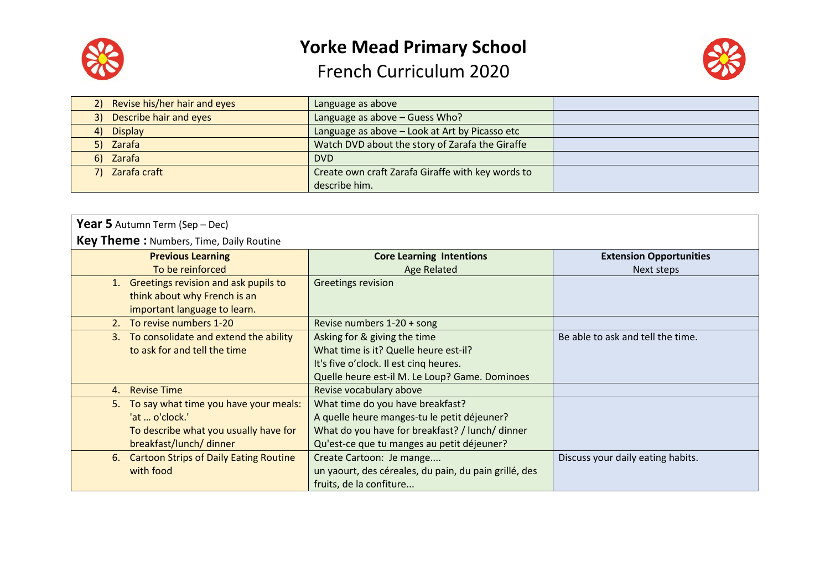



| 2) Revise his/her hair and eyes | Language as above                                 |  |
|---------------------------------|---------------------------------------------------|--|
| 3) Describe hair and eyes       | Language as above - Guess Who?                    |  |
| <b>Display</b><br>(4)           | Language as above - Look at Art by Picasso etc    |  |
| 5) Zarafa                       | Watch DVD about the story of Zarafa the Giraffe   |  |
| 6) Zarafa                       | DVD                                               |  |
| 7) Zarafa craft                 | Create own craft Zarafa Giraffe with key words to |  |
|                                 | describe him.                                     |  |

| <b>Year 5</b> Autumn Term (Sep – Dec)          |                                                       |                                   |  |
|------------------------------------------------|-------------------------------------------------------|-----------------------------------|--|
| <b>Key Theme: Numbers, Time, Daily Routine</b> |                                                       |                                   |  |
| <b>Previous Learning</b>                       | <b>Core Learning Intentions</b>                       | <b>Extension Opportunities</b>    |  |
| To be reinforced                               | <b>Age Related</b>                                    | Next steps                        |  |
| 1. Greetings revision and ask pupils to        | Greetings revision                                    |                                   |  |
| think about why French is an                   |                                                       |                                   |  |
| important language to learn.                   |                                                       |                                   |  |
| 2. To revise numbers 1-20                      | Revise numbers 1-20 + song                            |                                   |  |
| 3. To consolidate and extend the ability       | Asking for & giving the time                          | Be able to ask and tell the time. |  |
| to ask for and tell the time                   | What time is it? Quelle heure est-il?                 |                                   |  |
|                                                | It's five o'clock. Il est cinq heures.                |                                   |  |
|                                                | Quelle heure est-il M. Le Loup? Game. Dominoes        |                                   |  |
| <b>Revise Time</b><br>4.                       | Revise vocabulary above                               |                                   |  |
| To say what time you have your meals:<br>5.    | What time do you have breakfast?                      |                                   |  |
| 'at  o'clock.'                                 | A quelle heure manges-tu le petit déjeuner?           |                                   |  |
| To describe what you usually have for          | What do you have for breakfast? / lunch/ dinner       |                                   |  |
| breakfast/lunch/ dinner                        | Qu'est-ce que tu manges au petit déjeuner?            |                                   |  |
| 6. Cartoon Strips of Daily Eating Routine      | Create Cartoon: Je mange                              | Discuss your daily eating habits. |  |
| with food                                      | un yaourt, des céreales, du pain, du pain grillé, des |                                   |  |
|                                                | fruits, de la confiture                               |                                   |  |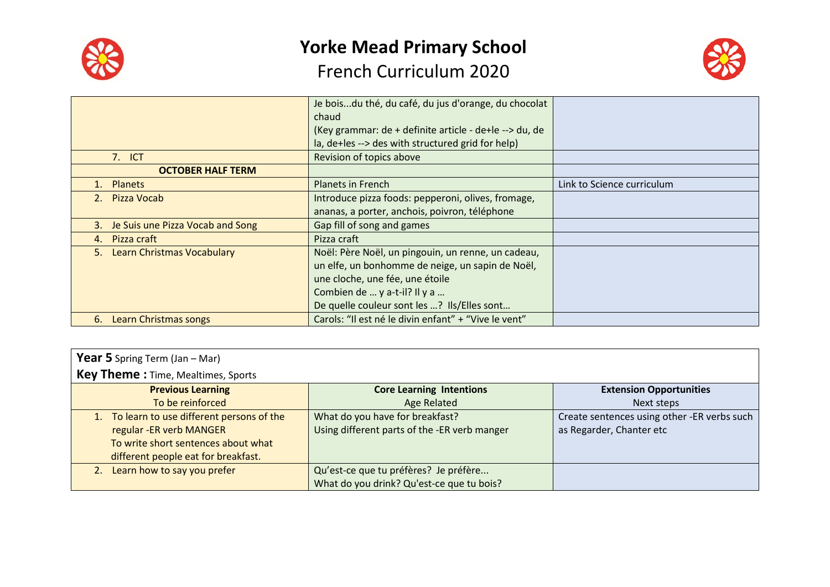



|                                         | Je boisdu thé, du café, du jus d'orange, du chocolat   |                            |
|-----------------------------------------|--------------------------------------------------------|----------------------------|
|                                         | chaud                                                  |                            |
|                                         | (Key grammar: de + definite article - de+le --> du, de |                            |
|                                         | la, de+les --> des with structured grid for help)      |                            |
| 7. ICT                                  | Revision of topics above                               |                            |
| <b>OCTOBER HALF TERM</b>                |                                                        |                            |
| <b>Planets</b>                          | <b>Planets in French</b>                               | Link to Science curriculum |
| <b>Pizza Vocab</b><br>2 <sub>1</sub>    | Introduce pizza foods: pepperoni, olives, fromage,     |                            |
|                                         | ananas, a porter, anchois, poivron, téléphone          |                            |
| Je Suis une Pizza Vocab and Song<br>3.  | Gap fill of song and games                             |                            |
| Pizza craft<br>4.                       | Pizza craft                                            |                            |
| <b>Learn Christmas Vocabulary</b><br>5. | Noël: Père Noël, un pingouin, un renne, un cadeau,     |                            |
|                                         | un elfe, un bonhomme de neige, un sapin de Noël,       |                            |
|                                         | une cloche, une fée, une étoile                        |                            |
|                                         | Combien de  y a-t-il? Il y a                           |                            |
|                                         | De quelle couleur sont les ? Ils/Elles sont            |                            |
| 6.<br>Learn Christmas songs             | Carols: "Il est né le divin enfant" + "Vive le vent"   |                            |

| <b>Year 5</b> Spring Term (Jan $-$ Mar)     |                                              |                                             |
|---------------------------------------------|----------------------------------------------|---------------------------------------------|
| <b>Key Theme: Time, Mealtimes, Sports</b>   |                                              |                                             |
| <b>Previous Learning</b>                    | <b>Core Learning Intentions</b>              | <b>Extension Opportunities</b>              |
| To be reinforced                            | Age Related                                  | Next steps                                  |
| 1. To learn to use different persons of the | What do you have for breakfast?              | Create sentences using other -ER verbs such |
| regular - ER verb MANGER                    | Using different parts of the -ER verb manger | as Regarder, Chanter etc                    |
| To write short sentences about what         |                                              |                                             |
| different people eat for breakfast.         |                                              |                                             |
| Learn how to say you prefer                 | Qu'est-ce que tu préfères? Je préfère        |                                             |
|                                             | What do you drink? Qu'est-ce que tu bois?    |                                             |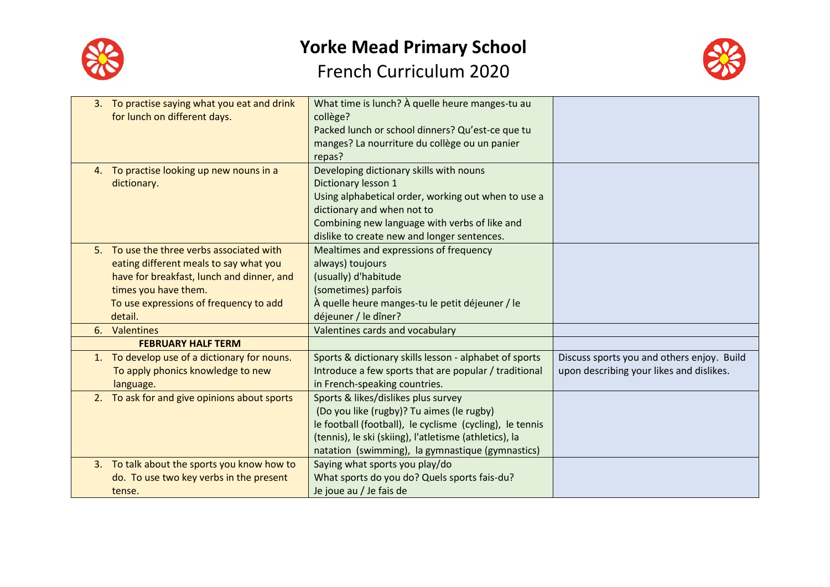



| 3. To practise saying what you eat and drink<br>for lunch on different days. | What time is lunch? À quelle heure manges-tu au<br>collège? |                                            |
|------------------------------------------------------------------------------|-------------------------------------------------------------|--------------------------------------------|
|                                                                              | Packed lunch or school dinners? Qu'est-ce que tu            |                                            |
|                                                                              | manges? La nourriture du collège ou un panier               |                                            |
|                                                                              | repas?                                                      |                                            |
| 4. To practise looking up new nouns in a                                     | Developing dictionary skills with nouns                     |                                            |
| dictionary.                                                                  | Dictionary lesson 1                                         |                                            |
|                                                                              | Using alphabetical order, working out when to use a         |                                            |
|                                                                              | dictionary and when not to                                  |                                            |
|                                                                              | Combining new language with verbs of like and               |                                            |
|                                                                              | dislike to create new and longer sentences.                 |                                            |
| 5. To use the three verbs associated with                                    | Mealtimes and expressions of frequency                      |                                            |
|                                                                              | always) toujours                                            |                                            |
| eating different meals to say what you                                       |                                                             |                                            |
| have for breakfast, lunch and dinner, and                                    | (usually) d'habitude                                        |                                            |
| times you have them.                                                         | (sometimes) parfois                                         |                                            |
| To use expressions of frequency to add                                       | À quelle heure manges-tu le petit déjeuner / le             |                                            |
| detail.                                                                      | déjeuner / le dîner?                                        |                                            |
| 6. Valentines                                                                | Valentines cards and vocabulary                             |                                            |
| <b>FEBRUARY HALF TERM</b>                                                    |                                                             |                                            |
| 1. To develop use of a dictionary for nouns.                                 | Sports & dictionary skills lesson - alphabet of sports      | Discuss sports you and others enjoy. Build |
| To apply phonics knowledge to new                                            | Introduce a few sports that are popular / traditional       | upon describing your likes and dislikes.   |
| language.                                                                    | in French-speaking countries.                               |                                            |
| 2. To ask for and give opinions about sports                                 | Sports & likes/dislikes plus survey                         |                                            |
|                                                                              | (Do you like (rugby)? Tu aimes (le rugby)                   |                                            |
|                                                                              | le football (football), le cyclisme (cycling), le tennis    |                                            |
|                                                                              | (tennis), le ski (skiing), l'atletisme (athletics), la      |                                            |
|                                                                              | natation (swimming), la gymnastique (gymnastics)            |                                            |
| 3. To talk about the sports you know how to                                  | Saying what sports you play/do                              |                                            |
| do. To use two key verbs in the present                                      | What sports do you do? Quels sports fais-du?                |                                            |
| tense.                                                                       | Je joue au / Je fais de                                     |                                            |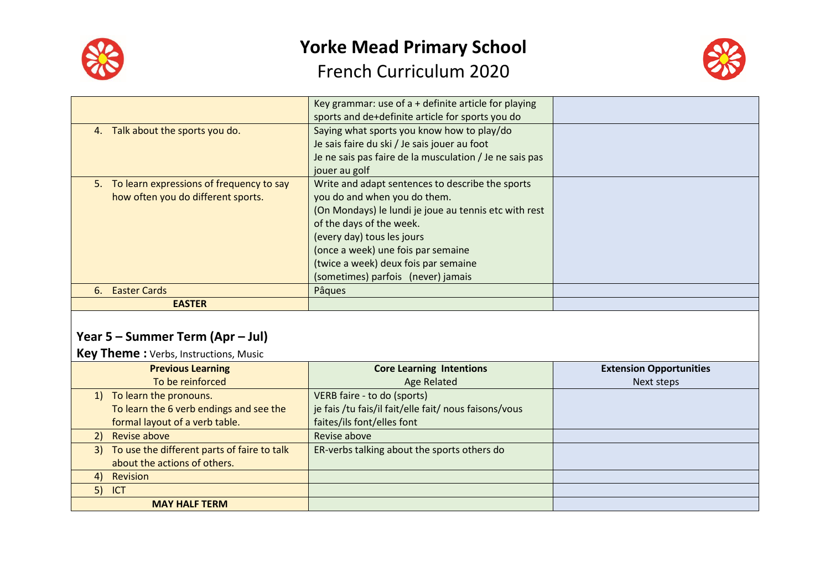



|                                             | Key grammar: use of $a +$ definite article for playing  |  |
|---------------------------------------------|---------------------------------------------------------|--|
|                                             | sports and de+definite article for sports you do        |  |
| 4. Talk about the sports you do.            | Saying what sports you know how to play/do              |  |
|                                             | Je sais faire du ski / Je sais jouer au foot            |  |
|                                             | Je ne sais pas faire de la musculation / Je ne sais pas |  |
|                                             | jouer au golf                                           |  |
| 5. To learn expressions of frequency to say | Write and adapt sentences to describe the sports        |  |
| how often you do different sports.          | you do and when you do them.                            |  |
|                                             | (On Mondays) le lundi je joue au tennis etc with rest   |  |
|                                             | of the days of the week.                                |  |
|                                             | (every day) tous les jours                              |  |
|                                             | (once a week) une fois par semaine                      |  |
|                                             | (twice a week) deux fois par semaine                    |  |
|                                             | (sometimes) parfois (never) jamais                      |  |
| 6. Easter Cards                             | Pâques                                                  |  |
| <b>EASTER</b>                               |                                                         |  |

#### **Year 5 – Summer Term (Apr – Jul)**

**Key Theme :** Verbs, Instructions, Music

|    | <b>Previous Learning</b>                       | <b>Core Learning Intentions</b>                       | <b>Extension Opportunities</b> |
|----|------------------------------------------------|-------------------------------------------------------|--------------------------------|
|    | To be reinforced                               | <b>Age Related</b>                                    | Next steps                     |
|    | 1) To learn the pronouns.                      | VERB faire - to do (sports)                           |                                |
|    | To learn the 6 verb endings and see the        | je fais /tu fais/il fait/elle fait/ nous faisons/vous |                                |
|    | formal layout of a verb table.                 | faites/ils font/elles font                            |                                |
| 2) | Revise above                                   | Revise above                                          |                                |
|    | 3) To use the different parts of faire to talk | ER-verbs talking about the sports others do           |                                |
|    | about the actions of others.                   |                                                       |                                |
| 4) | Revision                                       |                                                       |                                |
|    | $5)$ ICT                                       |                                                       |                                |
|    | <b>MAY HALF TERM</b>                           |                                                       |                                |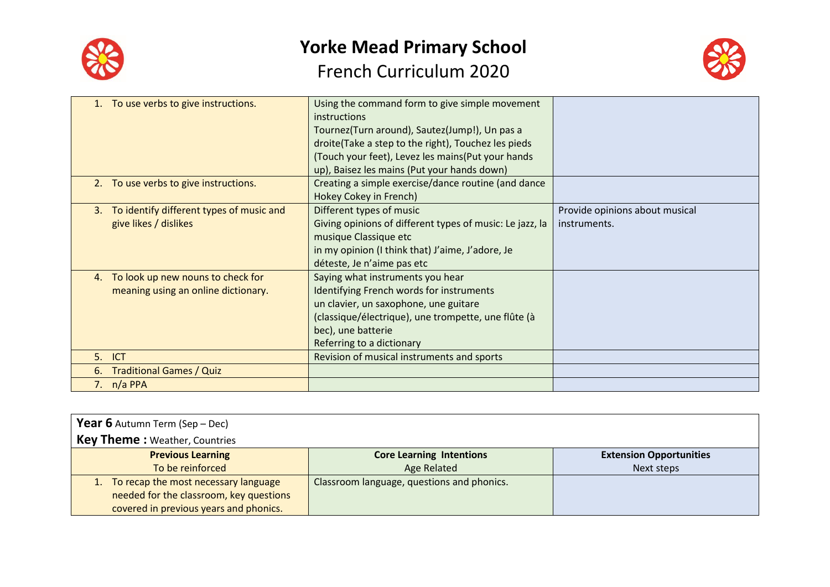



|    | 1. To use verbs to give instructions.    | Using the command form to give simple movement           |                                |
|----|------------------------------------------|----------------------------------------------------------|--------------------------------|
|    |                                          | instructions                                             |                                |
|    |                                          | Tournez(Turn around), Sautez(Jump!), Un pas a            |                                |
|    |                                          | droite(Take a step to the right), Touchez les pieds      |                                |
|    |                                          | (Touch your feet), Levez les mains (Put your hands       |                                |
|    |                                          | up), Baisez les mains (Put your hands down)              |                                |
|    | 2. To use verbs to give instructions.    | Creating a simple exercise/dance routine (and dance      |                                |
|    |                                          | Hokey Cokey in French)                                   |                                |
| 3. | To identify different types of music and | Different types of music                                 | Provide opinions about musical |
|    | give likes / dislikes                    | Giving opinions of different types of music: Le jazz, la | instruments.                   |
|    |                                          | musique Classique etc                                    |                                |
|    |                                          | in my opinion (I think that) J'aime, J'adore, Je         |                                |
|    |                                          | déteste, Je n'aime pas etc                               |                                |
| 4. | To look up new nouns to check for        | Saying what instruments you hear                         |                                |
|    | meaning using an online dictionary.      | Identifying French words for instruments                 |                                |
|    |                                          | un clavier, un saxophone, une guitare                    |                                |
|    |                                          | (classique/électrique), une trompette, une flûte (à      |                                |
|    |                                          | bec), une batterie                                       |                                |
|    |                                          | Referring to a dictionary                                |                                |
|    | 5. ICT                                   | Revision of musical instruments and sports               |                                |
| 6. | <b>Traditional Games / Quiz</b>          |                                                          |                                |
|    | 7. $n/a$ PPA                             |                                                          |                                |
|    |                                          |                                                          |                                |

| <b>Year 6</b> Autumn Term (Sep - Dec)   |                                            |                                |
|-----------------------------------------|--------------------------------------------|--------------------------------|
| <b>Key Theme: Weather, Countries</b>    |                                            |                                |
| <b>Previous Learning</b>                | <b>Core Learning Intentions</b>            | <b>Extension Opportunities</b> |
| To be reinforced                        | Age Related                                | Next steps                     |
| 1. To recap the most necessary language | Classroom language, questions and phonics. |                                |
| needed for the classroom, key questions |                                            |                                |
| covered in previous years and phonics.  |                                            |                                |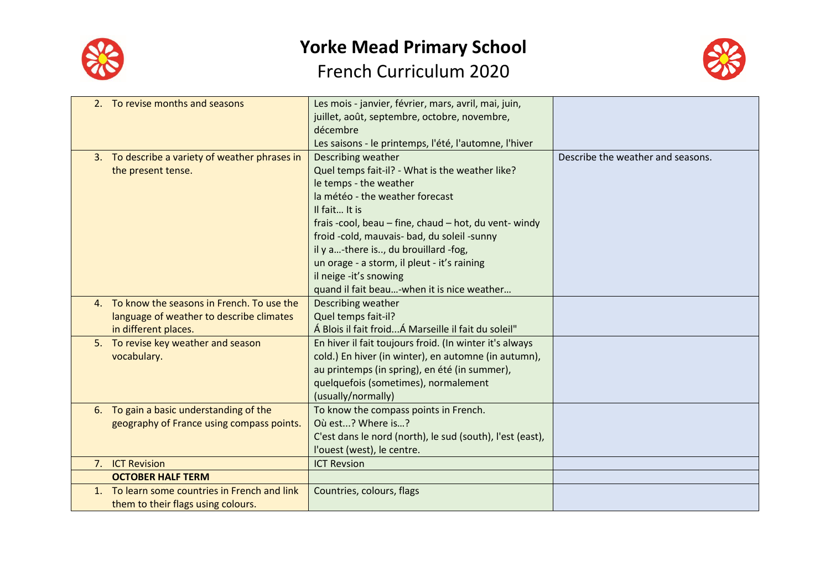



| 2. To revise months and seasons                | Les mois - janvier, février, mars, avril, mai, juin,      |                                   |
|------------------------------------------------|-----------------------------------------------------------|-----------------------------------|
|                                                | juillet, août, septembre, octobre, novembre,              |                                   |
|                                                | décembre                                                  |                                   |
|                                                | Les saisons - le printemps, l'été, l'automne, l'hiver     |                                   |
| 3. To describe a variety of weather phrases in | Describing weather                                        | Describe the weather and seasons. |
| the present tense.                             | Quel temps fait-il? - What is the weather like?           |                                   |
|                                                | le temps - the weather                                    |                                   |
|                                                | la météo - the weather forecast                           |                                   |
|                                                | Il fait It is                                             |                                   |
|                                                | frais -cool, beau - fine, chaud - hot, du vent- windy     |                                   |
|                                                | froid -cold, mauvais- bad, du soleil -sunny               |                                   |
|                                                | il y a-there is, du brouillard -fog,                      |                                   |
|                                                | un orage - a storm, il pleut - it's raining               |                                   |
|                                                | il neige -it's snowing                                    |                                   |
|                                                | quand il fait beau-when it is nice weather                |                                   |
| 4. To know the seasons in French. To use the   | Describing weather                                        |                                   |
| language of weather to describe climates       | Quel temps fait-il?                                       |                                   |
| in different places.                           | Á Blois il fait froid Á Marseille il fait du soleil"      |                                   |
| 5. To revise key weather and season            | En hiver il fait toujours froid. (In winter it's always   |                                   |
| vocabulary.                                    | cold.) En hiver (in winter), en automne (in autumn),      |                                   |
|                                                | au printemps (in spring), en été (in summer),             |                                   |
|                                                | quelquefois (sometimes), normalement                      |                                   |
|                                                | (usually/normally)                                        |                                   |
| 6. To gain a basic understanding of the        | To know the compass points in French.                     |                                   |
| geography of France using compass points.      | Où est? Where is?                                         |                                   |
|                                                | C'est dans le nord (north), le sud (south), l'est (east), |                                   |
|                                                | l'ouest (west), le centre.                                |                                   |
| 7. ICT Revision                                | <b>ICT Revsion</b>                                        |                                   |
| <b>OCTOBER HALF TERM</b>                       |                                                           |                                   |
| 1. To learn some countries in French and link  | Countries, colours, flags                                 |                                   |
| them to their flags using colours.             |                                                           |                                   |
|                                                |                                                           |                                   |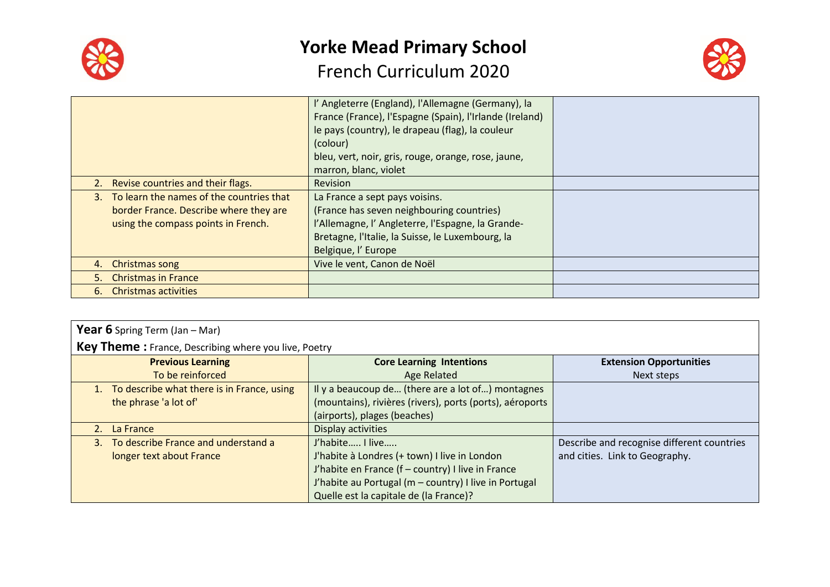

## **Yorke Mead Primary School**

#### French Curriculum 2020



|                                                                                                                              | l' Angleterre (England), l'Allemagne (Germany), la<br>France (France), l'Espagne (Spain), l'Irlande (Ireland)<br>le pays (country), le drapeau (flag), la couleur<br>(colour)<br>bleu, vert, noir, gris, rouge, orange, rose, jaune,<br>marron, blanc, violet |  |
|------------------------------------------------------------------------------------------------------------------------------|---------------------------------------------------------------------------------------------------------------------------------------------------------------------------------------------------------------------------------------------------------------|--|
| 2. Revise countries and their flags.                                                                                         | <b>Revision</b>                                                                                                                                                                                                                                               |  |
| 3. To learn the names of the countries that<br>border France. Describe where they are<br>using the compass points in French. | La France a sept pays voisins.<br>(France has seven neighbouring countries)<br>l'Allemagne, l'Angleterre, l'Espagne, la Grande-<br>Bretagne, l'Italie, la Suisse, le Luxembourg, la<br>Belgique, l'Europe                                                     |  |
| 4. Christmas song                                                                                                            | Vive le vent, Canon de Noël                                                                                                                                                                                                                                   |  |
| 5. Christmas in France                                                                                                       |                                                                                                                                                                                                                                                               |  |
| 6. Christmas activities                                                                                                      |                                                                                                                                                                                                                                                               |  |

| <b>Year 6</b> Spring Term (Jan $-$ Mar)                     |                                                          |                                            |  |  |
|-------------------------------------------------------------|----------------------------------------------------------|--------------------------------------------|--|--|
| <b>Key Theme:</b> France, Describing where you live, Poetry |                                                          |                                            |  |  |
| <b>Previous Learning</b>                                    | <b>Core Learning Intentions</b>                          | <b>Extension Opportunities</b>             |  |  |
| To be reinforced                                            | <b>Age Related</b>                                       | Next steps                                 |  |  |
| To describe what there is in France, using                  | Il y a beaucoup de (there are a lot of) montagnes        |                                            |  |  |
| the phrase 'a lot of'                                       | (mountains), rivières (rivers), ports (ports), aéroports |                                            |  |  |
|                                                             | (airports), plages (beaches)                             |                                            |  |  |
| 2. La France                                                | Display activities                                       |                                            |  |  |
| To describe France and understand a<br>$3 -$                | J'habite I live                                          | Describe and recognise different countries |  |  |
| longer text about France                                    | J'habite à Londres (+ town) I live in London             | and cities. Link to Geography.             |  |  |
|                                                             | J'habite en France (f - country) I live in France        |                                            |  |  |
|                                                             | J'habite au Portugal (m - country) I live in Portugal    |                                            |  |  |
|                                                             | Quelle est la capitale de (la France)?                   |                                            |  |  |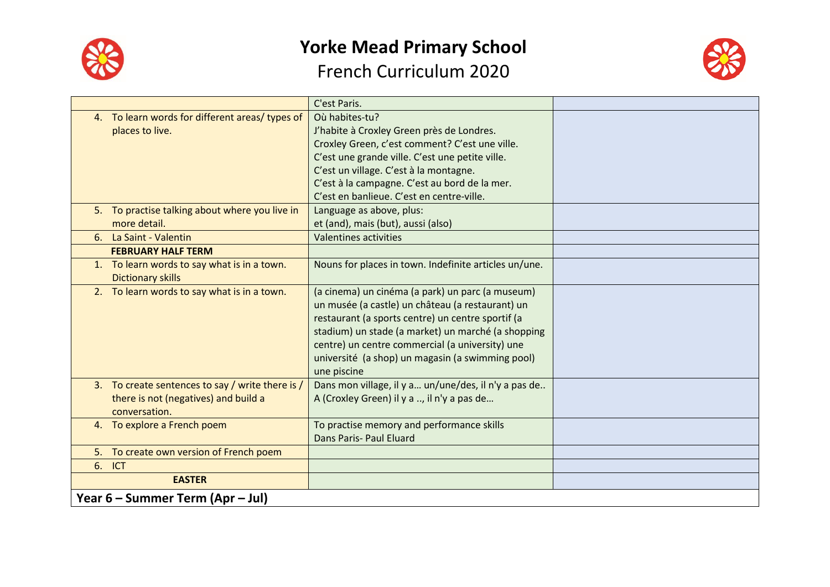



|                                                  | C'est Paris.                                          |  |
|--------------------------------------------------|-------------------------------------------------------|--|
| 4. To learn words for different areas/ types of  | Où habites-tu?                                        |  |
| places to live.                                  | J'habite à Croxley Green près de Londres.             |  |
|                                                  | Croxley Green, c'est comment? C'est une ville.        |  |
|                                                  | C'est une grande ville. C'est une petite ville.       |  |
|                                                  | C'est un village. C'est à la montagne.                |  |
|                                                  | C'est à la campagne. C'est au bord de la mer.         |  |
|                                                  | C'est en banlieue. C'est en centre-ville.             |  |
| 5. To practise talking about where you live in   | Language as above, plus:                              |  |
| more detail.                                     | et (and), mais (but), aussi (also)                    |  |
| 6. La Saint - Valentin                           | <b>Valentines activities</b>                          |  |
| <b>FEBRUARY HALF TERM</b>                        |                                                       |  |
| 1. To learn words to say what is in a town.      | Nouns for places in town. Indefinite articles un/une. |  |
| <b>Dictionary skills</b>                         |                                                       |  |
| 2. To learn words to say what is in a town.      | (a cinema) un cinéma (a park) un parc (a museum)      |  |
|                                                  | un musée (a castle) un château (a restaurant) un      |  |
|                                                  | restaurant (a sports centre) un centre sportif (a     |  |
|                                                  | stadium) un stade (a market) un marché (a shopping    |  |
|                                                  | centre) un centre commercial (a university) une       |  |
|                                                  | université (a shop) un magasin (a swimming pool)      |  |
|                                                  | une piscine                                           |  |
| 3. To create sentences to say / write there is / | Dans mon village, il y a un/une/des, il n'y a pas de  |  |
| there is not (negatives) and build a             | A (Croxley Green) il y a , il n'y a pas de            |  |
| conversation.                                    |                                                       |  |
| 4. To explore a French poem                      | To practise memory and performance skills             |  |
|                                                  | Dans Paris- Paul Eluard                               |  |
| 5. To create own version of French poem          |                                                       |  |
| 6. ICT                                           |                                                       |  |
| <b>EASTER</b>                                    |                                                       |  |
| Year 6 – Summer Term (Apr – Jul)                 |                                                       |  |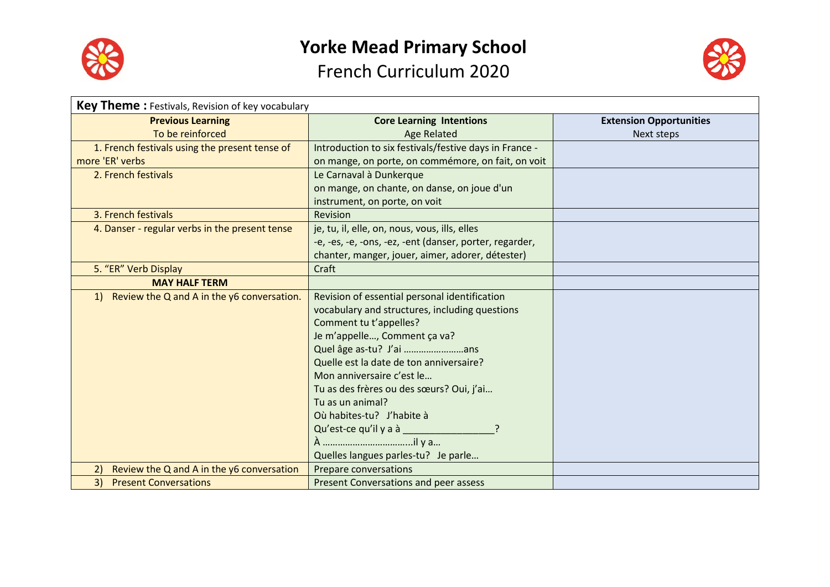



| <b>Key Theme:</b> Festivals, Revision of key vocabulary |                                                         |                                |
|---------------------------------------------------------|---------------------------------------------------------|--------------------------------|
| <b>Previous Learning</b>                                | <b>Core Learning Intentions</b>                         | <b>Extension Opportunities</b> |
| To be reinforced                                        | <b>Age Related</b>                                      | Next steps                     |
| 1. French festivals using the present tense of          | Introduction to six festivals/festive days in France -  |                                |
| more 'ER' verbs                                         | on mange, on porte, on commémore, on fait, on voit      |                                |
| 2. French festivals                                     | Le Carnaval à Dunkerque                                 |                                |
|                                                         | on mange, on chante, on danse, on joue d'un             |                                |
|                                                         | instrument, on porte, on voit                           |                                |
| 3. French festivals                                     | Revision                                                |                                |
| 4. Danser - regular verbs in the present tense          | je, tu, il, elle, on, nous, vous, ills, elles           |                                |
|                                                         | -e, -es, -e, -ons, -ez, -ent (danser, porter, regarder, |                                |
|                                                         | chanter, manger, jouer, aimer, adorer, détester)        |                                |
| 5. "ER" Verb Display                                    | Craft                                                   |                                |
| <b>MAY HALF TERM</b>                                    |                                                         |                                |
| 1) Review the Q and A in the y6 conversation.           | Revision of essential personal identification           |                                |
|                                                         | vocabulary and structures, including questions          |                                |
|                                                         | Comment tu t'appelles?                                  |                                |
|                                                         | Je m'appelle, Comment ça va?                            |                                |
|                                                         | Quel âge as-tu? J'ai ans                                |                                |
|                                                         | Quelle est la date de ton anniversaire?                 |                                |
|                                                         | Mon anniversaire c'est le                               |                                |
|                                                         | Tu as des frères ou des sœurs? Oui, j'ai                |                                |
|                                                         | Tu as un animal?                                        |                                |
|                                                         | Où habites-tu? J'habite à                               |                                |
|                                                         | Qu'est-ce qu'il y a à                                   |                                |
|                                                         |                                                         |                                |
|                                                         | Quelles langues parles-tu? Je parle                     |                                |
| Review the Q and A in the y6 conversation<br>2)         | Prepare conversations                                   |                                |
| <b>Present Conversations</b><br>3)                      | Present Conversations and peer assess                   |                                |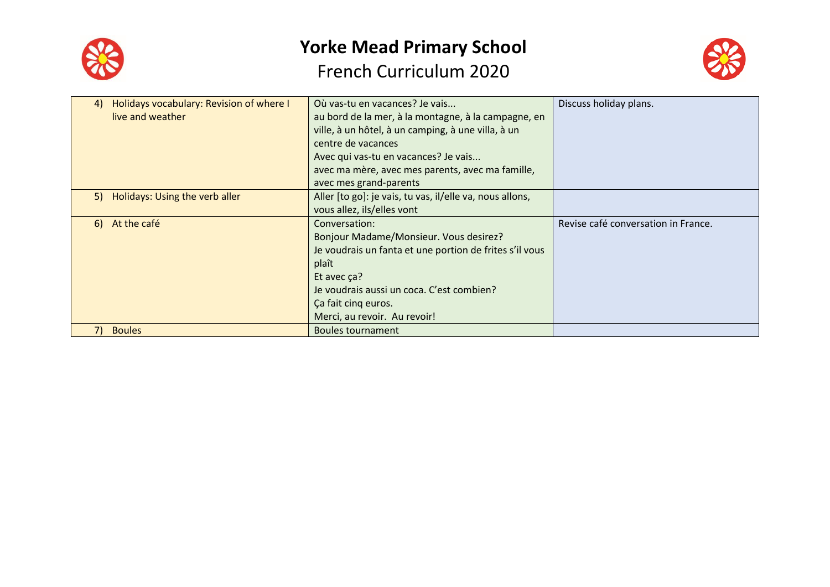



| 4) | Holidays vocabulary: Revision of where I | Où vas-tu en vacances? Je vais                           | Discuss holiday plans.              |
|----|------------------------------------------|----------------------------------------------------------|-------------------------------------|
|    | live and weather                         | au bord de la mer, à la montagne, à la campagne, en      |                                     |
|    |                                          | ville, à un hôtel, à un camping, à une villa, à un       |                                     |
|    |                                          | centre de vacances                                       |                                     |
|    |                                          | Avec qui vas-tu en vacances? Je vais                     |                                     |
|    |                                          | avec ma mère, avec mes parents, avec ma famille,         |                                     |
|    |                                          | avec mes grand-parents                                   |                                     |
|    | 5) Holidays: Using the verb aller        | Aller [to go]: je vais, tu vas, il/elle va, nous allons, |                                     |
|    |                                          | vous allez, ils/elles vont                               |                                     |
|    |                                          |                                                          |                                     |
|    | 6) At the café                           | Conversation:                                            | Revise café conversation in France. |
|    |                                          | Bonjour Madame/Monsieur. Vous desirez?                   |                                     |
|    |                                          | Je voudrais un fanta et une portion de frites s'il vous  |                                     |
|    |                                          | plaît                                                    |                                     |
|    |                                          | Et avec ça?                                              |                                     |
|    |                                          | Je voudrais aussi un coca. C'est combien?                |                                     |
|    |                                          | Ca fait cing euros.                                      |                                     |
|    |                                          | Merci, au revoir. Au revoir!                             |                                     |